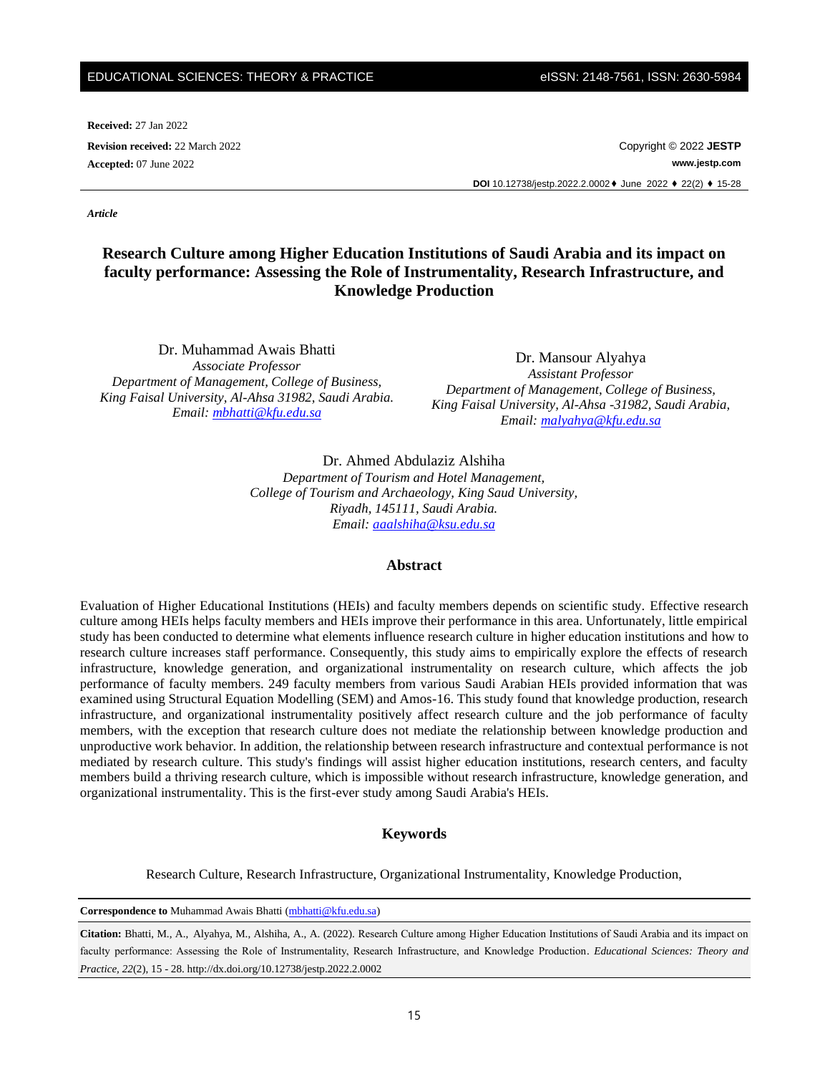#### EDUCATIONAL SCIENCES: THEORY & PRACTICE eISSN: 2148-7561, ISSN: 2630-5984

**Received:** 27 Jan 2022

**Revision received:** 22 March 2022 Copyright © 2022 **JESTP Accepted:** 07 June 2022 **www.jestp.com DOI** 10.12738/jestp.2022.2.0002♦ June 2022 ♦ 22(2) ♦ 15-28

*Article*

# **Research Culture among Higher Education Institutions of Saudi Arabia and its impact on faculty performance: Assessing the Role of Instrumentality, Research Infrastructure, and Knowledge Production**

Dr. Muhammad Awais Bhatti *Associate Professor Department of Management, College of Business, King Faisal University, Al-Ahsa 31982, Saudi Arabia. Email: [mbhatti@kfu.edu.sa](mailto:mbhatti@kfu.edu.sa)*

Dr. Mansour Alyahya *Assistant Professor Department of Management, College of Business, King Faisal University, Al-Ahsa -31982, Saudi Arabia, Email: [malyahya@kfu.edu.sa](mailto:malyahya@kfu.edu.sa)*

Dr. Ahmed Abdulaziz Alshiha *Department of Tourism and Hotel Management, College of Tourism and Archaeology, King Saud University, Riyadh, 145111, Saudi Arabia. Email: [aaalshiha@ksu.edu.sa](mailto:aaalshiha@ksu.edu.sa)*

#### **Abstract**

Evaluation of Higher Educational Institutions (HEIs) and faculty members depends on scientific study. Effective research culture among HEIs helps faculty members and HEIs improve their performance in this area. Unfortunately, little empirical study has been conducted to determine what elements influence research culture in higher education institutions and how to research culture increases staff performance. Consequently, this study aims to empirically explore the effects of research infrastructure, knowledge generation, and organizational instrumentality on research culture, which affects the job performance of faculty members. 249 faculty members from various Saudi Arabian HEIs provided information that was examined using Structural Equation Modelling (SEM) and Amos-16. This study found that knowledge production, research infrastructure, and organizational instrumentality positively affect research culture and the job performance of faculty members, with the exception that research culture does not mediate the relationship between knowledge production and unproductive work behavior. In addition, the relationship between research infrastructure and contextual performance is not mediated by research culture. This study's findings will assist higher education institutions, research centers, and faculty members build a thriving research culture, which is impossible without research infrastructure, knowledge generation, and organizational instrumentality. This is the first-ever study among Saudi Arabia's HEIs.

### **Keywords**

Research Culture, Research Infrastructure, Organizational Instrumentality, Knowledge Production,

Correspondence to Muhammad Awais Bhatti [\(mbhatti@kfu.edu.sa\)](mailto:mbhatti@kfu.edu.sa)

**Citation:** Bhatti, M., A., Alyahya, M., Alshiha, A., A. (2022). Research Culture among Higher Education Institutions of Saudi Arabia and its impact on faculty performance: Assessing the Role of Instrumentality, Research Infrastructure, and Knowledge Production. *Educational Sciences: Theory and Practice, 22*(2), 15 - 28. http://dx.doi.org/10.12738/jestp.2022.2.0002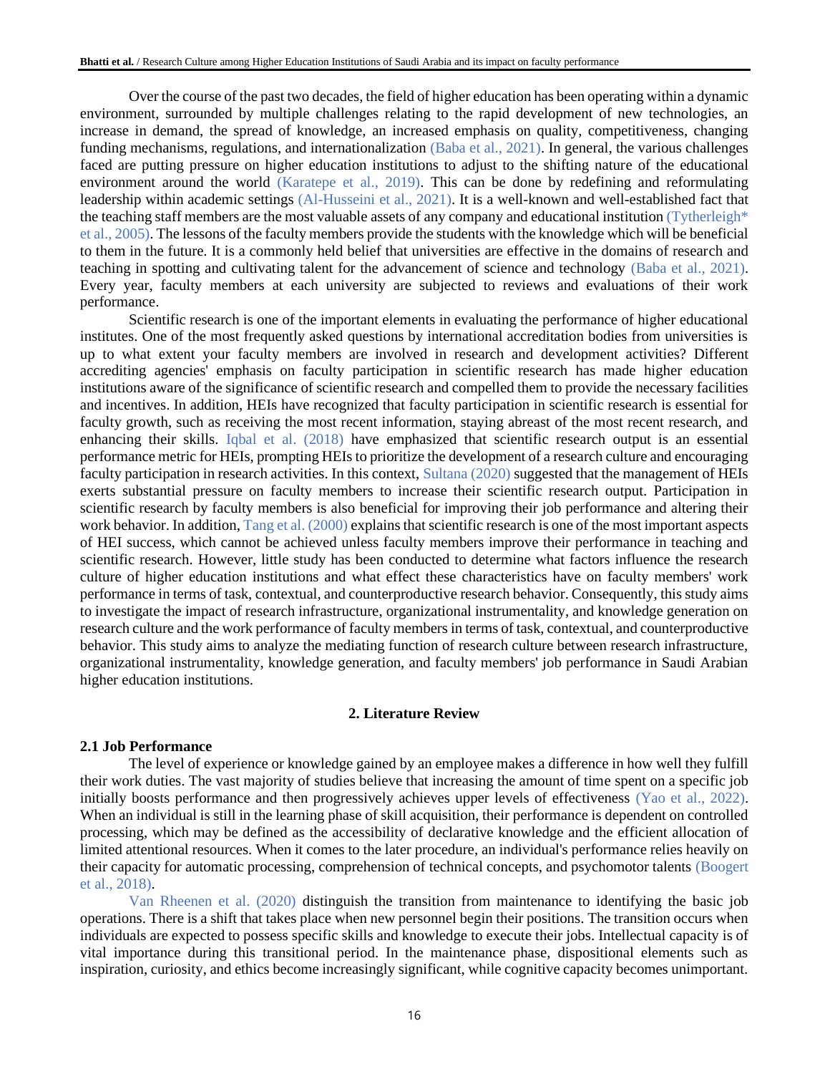Over the course of the past two decades, the field of higher education has been operating within a dynamic environment, surrounded by multiple challenges relating to the rapid development of new technologies, an increase in demand, the spread of knowledge, an increased emphasis on quality, competitiveness, changing funding mechanisms, regulations, and internationalization (Baba et al., 2021). In general, the various challenges faced are putting pressure on higher education institutions to adjust to the shifting nature of the educational environment around the world (Karatepe et al., 2019). This can be done by redefining and reformulating leadership within academic settings (Al-Husseini et al., 2021). It is a well-known and well-established fact that the teaching staff members are the most valuable assets of any company and educational institution (Tytherleigh\* et al., 2005). The lessons of the faculty members provide the students with the knowledge which will be beneficial to them in the future. It is a commonly held belief that universities are effective in the domains of research and teaching in spotting and cultivating talent for the advancement of science and technology (Baba et al., 2021). Every year, faculty members at each university are subjected to reviews and evaluations of their work performance.

Scientific research is one of the important elements in evaluating the performance of higher educational institutes. One of the most frequently asked questions by international accreditation bodies from universities is up to what extent your faculty members are involved in research and development activities? Different accrediting agencies' emphasis on faculty participation in scientific research has made higher education institutions aware of the significance of scientific research and compelled them to provide the necessary facilities and incentives. In addition, HEIs have recognized that faculty participation in scientific research is essential for faculty growth, such as receiving the most recent information, staying abreast of the most recent research, and enhancing their skills. Iqbal et al. (2018) have emphasized that scientific research output is an essential performance metric for HEIs, prompting HEIs to prioritize the development of a research culture and encouraging faculty participation in research activities. In this context, Sultana (2020) suggested that the management of HEIs exerts substantial pressure on faculty members to increase their scientific research output. Participation in scientific research by faculty members is also beneficial for improving their job performance and altering their work behavior. In addition, Tang et al. (2000) explains that scientific research is one of the most important aspects of HEI success, which cannot be achieved unless faculty members improve their performance in teaching and scientific research. However, little study has been conducted to determine what factors influence the research culture of higher education institutions and what effect these characteristics have on faculty members' work performance in terms of task, contextual, and counterproductive research behavior. Consequently, this study aims to investigate the impact of research infrastructure, organizational instrumentality, and knowledge generation on research culture and the work performance of faculty members in terms of task, contextual, and counterproductive behavior. This study aims to analyze the mediating function of research culture between research infrastructure, organizational instrumentality, knowledge generation, and faculty members' job performance in Saudi Arabian higher education institutions.

### **2. Literature Review**

#### **2.1 Job Performance**

The level of experience or knowledge gained by an employee makes a difference in how well they fulfill their work duties. The vast majority of studies believe that increasing the amount of time spent on a specific job initially boosts performance and then progressively achieves upper levels of effectiveness (Yao et al., 2022). When an individual is still in the learning phase of skill acquisition, their performance is dependent on controlled processing, which may be defined as the accessibility of declarative knowledge and the efficient allocation of limited attentional resources. When it comes to the later procedure, an individual's performance relies heavily on their capacity for automatic processing, comprehension of technical concepts, and psychomotor talents (Boogert et al., 2018).

Van Rheenen et al. (2020) distinguish the transition from maintenance to identifying the basic job operations. There is a shift that takes place when new personnel begin their positions. The transition occurs when individuals are expected to possess specific skills and knowledge to execute their jobs. Intellectual capacity is of vital importance during this transitional period. In the maintenance phase, dispositional elements such as inspiration, curiosity, and ethics become increasingly significant, while cognitive capacity becomes unimportant.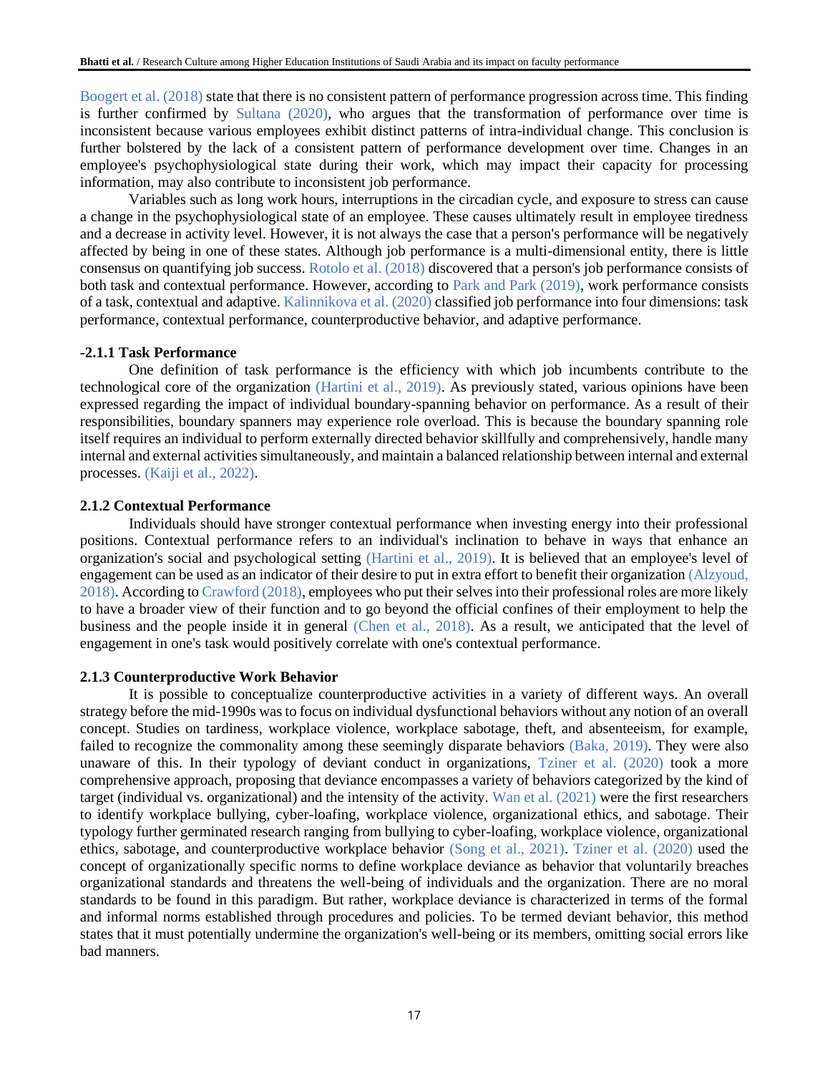Boogert et al. (2018) state that there is no consistent pattern of performance progression across time. This finding is further confirmed by Sultana (2020), who argues that the transformation of performance over time is inconsistent because various employees exhibit distinct patterns of intra-individual change. This conclusion is further bolstered by the lack of a consistent pattern of performance development over time. Changes in an employee's psychophysiological state during their work, which may impact their capacity for processing information, may also contribute to inconsistent job performance.

Variables such as long work hours, interruptions in the circadian cycle, and exposure to stress can cause a change in the psychophysiological state of an employee. These causes ultimately result in employee tiredness and a decrease in activity level. However, it is not always the case that a person's performance will be negatively affected by being in one of these states. Although job performance is a multi-dimensional entity, there is little consensus on quantifying job success. Rotolo et al. (2018) discovered that a person's job performance consists of both task and contextual performance. However, according to Park and Park (2019), work performance consists of a task, contextual and adaptive. Kalinnikova et al. (2020) classified job performance into four dimensions: task performance, contextual performance, counterproductive behavior, and adaptive performance.

## **-2.1.1 Task Performance**

One definition of task performance is the efficiency with which job incumbents contribute to the technological core of the organization (Hartini et al., 2019). As previously stated, various opinions have been expressed regarding the impact of individual boundary-spanning behavior on performance. As a result of their responsibilities, boundary spanners may experience role overload. This is because the boundary spanning role itself requires an individual to perform externally directed behavior skillfully and comprehensively, handle many internal and external activities simultaneously, and maintain a balanced relationship between internal and external processes. (Kaiji et al., 2022).

## **2.1.2 Contextual Performance**

Individuals should have stronger contextual performance when investing energy into their professional positions. Contextual performance refers to an individual's inclination to behave in ways that enhance an organization's social and psychological setting (Hartini et al., 2019). It is believed that an employee's level of engagement can be used as an indicator of their desire to put in extra effort to benefit their organization (Alzyoud, 2018). According to Crawford (2018), employees who put their selves into their professional roles are more likely to have a broader view of their function and to go beyond the official confines of their employment to help the business and the people inside it in general (Chen et al., 2018). As a result, we anticipated that the level of engagement in one's task would positively correlate with one's contextual performance.

#### **2.1.3 Counterproductive Work Behavior**

It is possible to conceptualize counterproductive activities in a variety of different ways. An overall strategy before the mid-1990s was to focus on individual dysfunctional behaviors without any notion of an overall concept. Studies on tardiness, workplace violence, workplace sabotage, theft, and absenteeism, for example, failed to recognize the commonality among these seemingly disparate behaviors (Baka, 2019). They were also unaware of this. In their typology of deviant conduct in organizations, Tziner et al. (2020) took a more comprehensive approach, proposing that deviance encompasses a variety of behaviors categorized by the kind of target (individual vs. organizational) and the intensity of the activity. Wan et al. (2021) were the first researchers to identify workplace bullying, cyber-loafing, workplace violence, organizational ethics, and sabotage. Their typology further germinated research ranging from bullying to cyber-loafing, workplace violence, organizational ethics, sabotage, and counterproductive workplace behavior (Song et al., 2021). Tziner et al. (2020) used the concept of organizationally specific norms to define workplace deviance as behavior that voluntarily breaches organizational standards and threatens the well-being of individuals and the organization. There are no moral standards to be found in this paradigm. But rather, workplace deviance is characterized in terms of the formal and informal norms established through procedures and policies. To be termed deviant behavior, this method states that it must potentially undermine the organization's well-being or its members, omitting social errors like bad manners.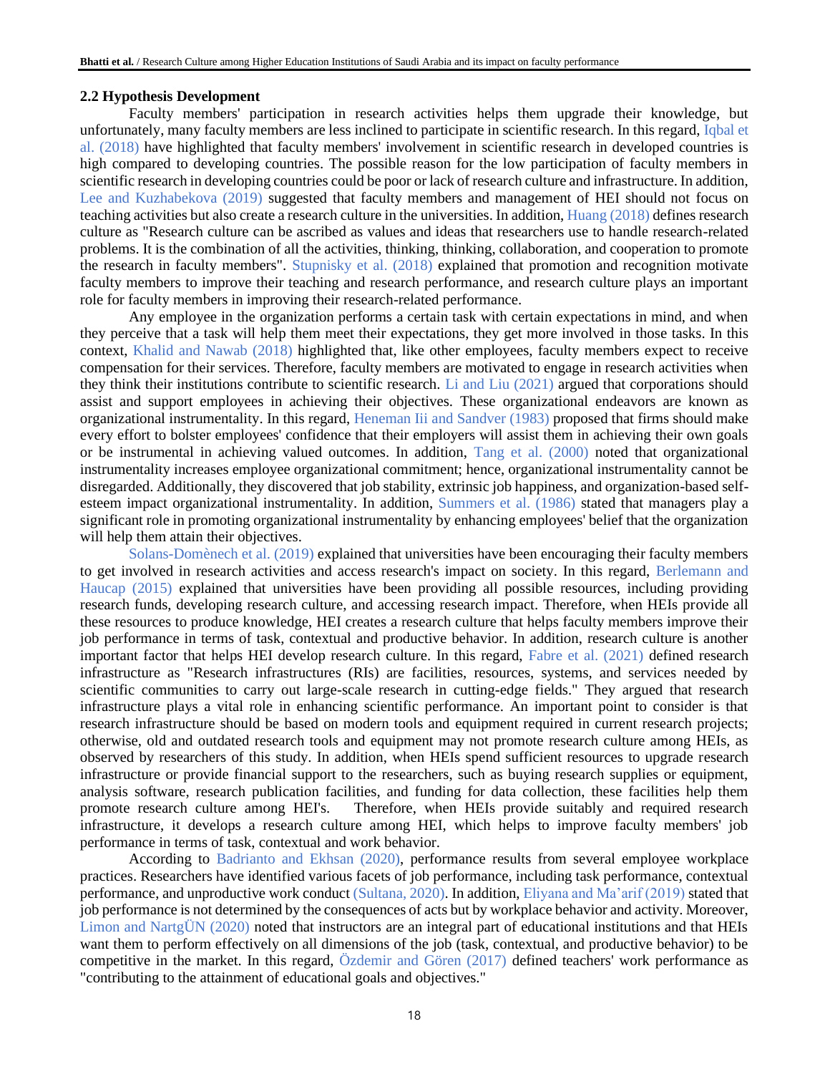## **2.2 Hypothesis Development**

Faculty members' participation in research activities helps them upgrade their knowledge, but unfortunately, many faculty members are less inclined to participate in scientific research. In this regard, Iqbal et al. (2018) have highlighted that faculty members' involvement in scientific research in developed countries is high compared to developing countries. The possible reason for the low participation of faculty members in scientific research in developing countries could be poor or lack of research culture and infrastructure. In addition, Lee and Kuzhabekova (2019) suggested that faculty members and management of HEI should not focus on teaching activities but also create a research culture in the universities. In addition, Huang (2018) defines research culture as "Research culture can be ascribed as values and ideas that researchers use to handle research-related problems. It is the combination of all the activities, thinking, thinking, collaboration, and cooperation to promote the research in faculty members". Stupnisky et al. (2018) explained that promotion and recognition motivate faculty members to improve their teaching and research performance, and research culture plays an important role for faculty members in improving their research-related performance.

Any employee in the organization performs a certain task with certain expectations in mind, and when they perceive that a task will help them meet their expectations, they get more involved in those tasks. In this context, Khalid and Nawab (2018) highlighted that, like other employees, faculty members expect to receive compensation for their services. Therefore, faculty members are motivated to engage in research activities when they think their institutions contribute to scientific research. Li and Liu (2021) argued that corporations should assist and support employees in achieving their objectives. These organizational endeavors are known as organizational instrumentality. In this regard, Heneman Iii and Sandver (1983) proposed that firms should make every effort to bolster employees' confidence that their employers will assist them in achieving their own goals or be instrumental in achieving valued outcomes. In addition, Tang et al. (2000) noted that organizational instrumentality increases employee organizational commitment; hence, organizational instrumentality cannot be disregarded. Additionally, they discovered that job stability, extrinsic job happiness, and organization-based selfesteem impact organizational instrumentality. In addition, Summers et al. (1986) stated that managers play a significant role in promoting organizational instrumentality by enhancing employees' belief that the organization will help them attain their objectives.

Solans-Domènech et al. (2019) explained that universities have been encouraging their faculty members to get involved in research activities and access research's impact on society. In this regard, Berlemann and Haucap (2015) explained that universities have been providing all possible resources, including providing research funds, developing research culture, and accessing research impact. Therefore, when HEIs provide all these resources to produce knowledge, HEI creates a research culture that helps faculty members improve their job performance in terms of task, contextual and productive behavior. In addition, research culture is another important factor that helps HEI develop research culture. In this regard, Fabre et al. (2021) defined research infrastructure as "Research infrastructures (RIs) are facilities, resources, systems, and services needed by scientific communities to carry out large-scale research in cutting-edge fields." They argued that research infrastructure plays a vital role in enhancing scientific performance. An important point to consider is that research infrastructure should be based on modern tools and equipment required in current research projects; otherwise, old and outdated research tools and equipment may not promote research culture among HEIs, as observed by researchers of this study. In addition, when HEIs spend sufficient resources to upgrade research infrastructure or provide financial support to the researchers, such as buying research supplies or equipment, analysis software, research publication facilities, and funding for data collection, these facilities help them promote research culture among HEI's. Therefore, when HEIs provide suitably and required research infrastructure, it develops a research culture among HEI, which helps to improve faculty members' job performance in terms of task, contextual and work behavior.

According to Badrianto and Ekhsan (2020), performance results from several employee workplace practices. Researchers have identified various facets of job performance, including task performance, contextual performance, and unproductive work conduct (Sultana, 2020). In addition, Eliyana and Ma'arif (2019) stated that job performance is not determined by the consequences of acts but by workplace behavior and activity. Moreover, Limon and NartgÜN (2020) noted that instructors are an integral part of educational institutions and that HEIs want them to perform effectively on all dimensions of the job (task, contextual, and productive behavior) to be competitive in the market. In this regard, Özdemir and Gören (2017) defined teachers' work performance as "contributing to the attainment of educational goals and objectives."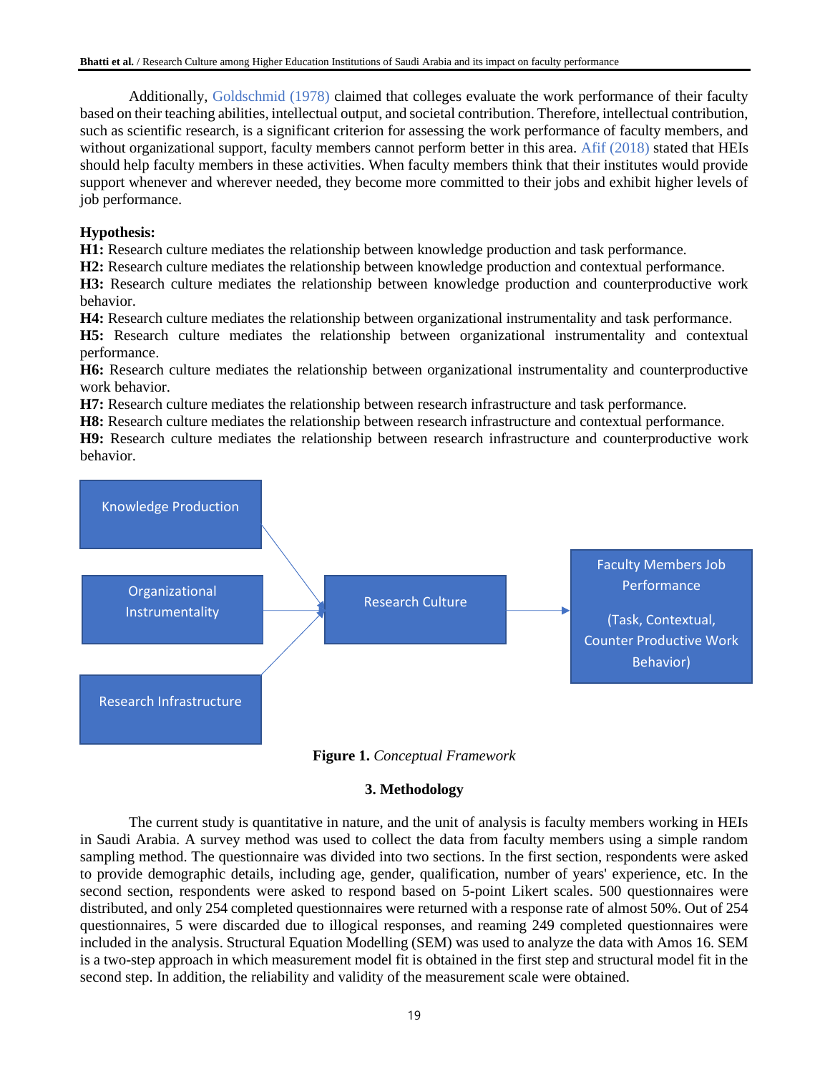Additionally, Goldschmid (1978) claimed that colleges evaluate the work performance of their faculty based on their teaching abilities, intellectual output, and societal contribution. Therefore, intellectual contribution, such as scientific research, is a significant criterion for assessing the work performance of faculty members, and without organizational support, faculty members cannot perform better in this area. Afif (2018) stated that HEIs should help faculty members in these activities. When faculty members think that their institutes would provide support whenever and wherever needed, they become more committed to their jobs and exhibit higher levels of job performance.

# **Hypothesis:**

**H1:** Research culture mediates the relationship between knowledge production and task performance.

**H2:** Research culture mediates the relationship between knowledge production and contextual performance.

**H3:** Research culture mediates the relationship between knowledge production and counterproductive work behavior.

**H4:** Research culture mediates the relationship between organizational instrumentality and task performance.

**H5:** Research culture mediates the relationship between organizational instrumentality and contextual performance.

**H6:** Research culture mediates the relationship between organizational instrumentality and counterproductive work behavior.

**H7:** Research culture mediates the relationship between research infrastructure and task performance.

**H8:** Research culture mediates the relationship between research infrastructure and contextual performance. **H9:** Research culture mediates the relationship between research infrastructure and counterproductive work behavior.





# **3. Methodology**

The current study is quantitative in nature, and the unit of analysis is faculty members working in HEIs in Saudi Arabia. A survey method was used to collect the data from faculty members using a simple random sampling method. The questionnaire was divided into two sections. In the first section, respondents were asked to provide demographic details, including age, gender, qualification, number of years' experience, etc. In the second section, respondents were asked to respond based on 5-point Likert scales. 500 questionnaires were distributed, and only 254 completed questionnaires were returned with a response rate of almost 50%. Out of 254 questionnaires, 5 were discarded due to illogical responses, and reaming 249 completed questionnaires were included in the analysis. Structural Equation Modelling (SEM) was used to analyze the data with Amos 16. SEM is a two-step approach in which measurement model fit is obtained in the first step and structural model fit in the second step. In addition, the reliability and validity of the measurement scale were obtained.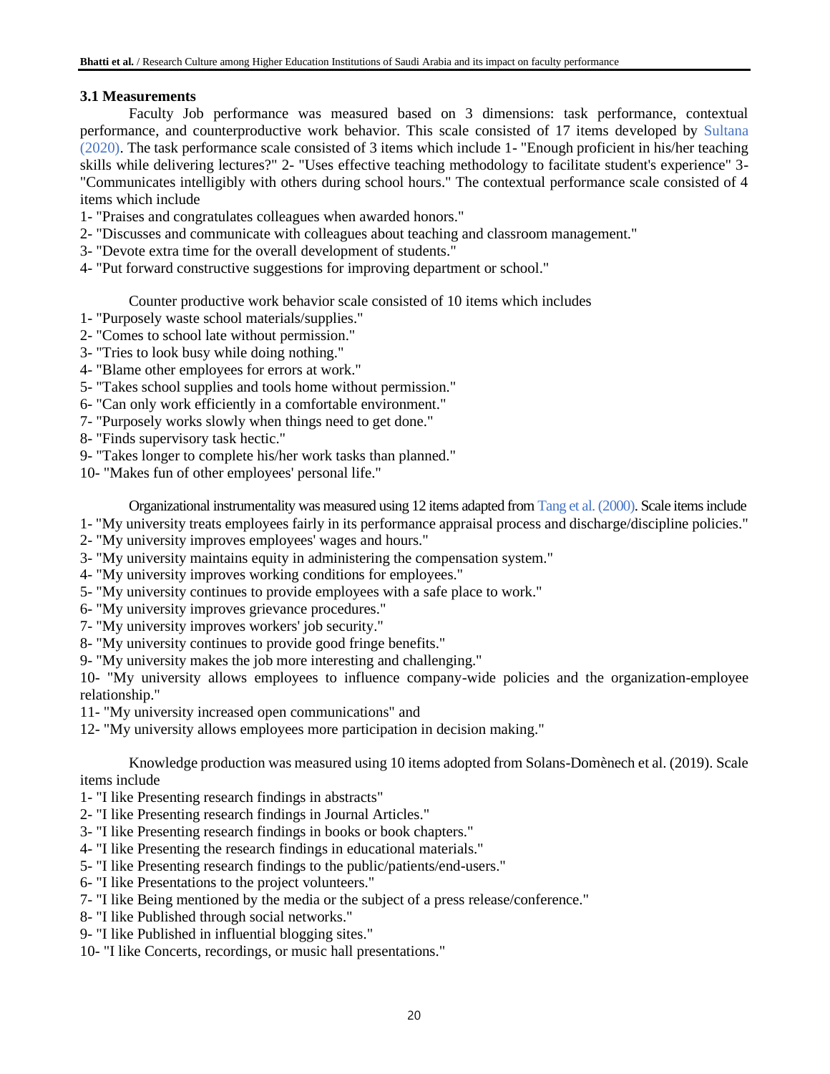# **3.1 Measurements**

Faculty Job performance was measured based on 3 dimensions: task performance, contextual performance, and counterproductive work behavior. This scale consisted of 17 items developed by Sultana (2020). The task performance scale consisted of 3 items which include 1- "Enough proficient in his/her teaching skills while delivering lectures?" 2- "Uses effective teaching methodology to facilitate student's experience" 3- "Communicates intelligibly with others during school hours." The contextual performance scale consisted of 4 items which include

- 1- "Praises and congratulates colleagues when awarded honors."
- 2- "Discusses and communicate with colleagues about teaching and classroom management."
- 3- "Devote extra time for the overall development of students."
- 4- "Put forward constructive suggestions for improving department or school."

Counter productive work behavior scale consisted of 10 items which includes

- 1- "Purposely waste school materials/supplies."
- 2- "Comes to school late without permission."
- 3- "Tries to look busy while doing nothing."
- 4- "Blame other employees for errors at work."
- 5- "Takes school supplies and tools home without permission."
- 6- "Can only work efficiently in a comfortable environment."
- 7- "Purposely works slowly when things need to get done."
- 8- "Finds supervisory task hectic."
- 9- "Takes longer to complete his/her work tasks than planned."
- 10- "Makes fun of other employees' personal life."

Organizational instrumentality was measured using 12 items adapted from Tang et al. (2000). Scale items include

- 1- "My university treats employees fairly in its performance appraisal process and discharge/discipline policies."
- 2- "My university improves employees' wages and hours."
- 3- "My university maintains equity in administering the compensation system."
- 4- "My university improves working conditions for employees."
- 5- "My university continues to provide employees with a safe place to work."
- 6- "My university improves grievance procedures."
- 7- "My university improves workers' job security."
- 8- "My university continues to provide good fringe benefits."
- 9- "My university makes the job more interesting and challenging."

10- "My university allows employees to influence company-wide policies and the organization-employee relationship."

- 11- "My university increased open communications" and
- 12- "My university allows employees more participation in decision making."

Knowledge production was measured using 10 items adopted from Solans-Domènech et al. (2019). Scale items include

- 1- "I like Presenting research findings in abstracts"
- 2- "I like Presenting research findings in Journal Articles."
- 3- "I like Presenting research findings in books or book chapters."
- 4- "I like Presenting the research findings in educational materials."
- 5- "I like Presenting research findings to the public/patients/end-users."
- 6- "I like Presentations to the project volunteers."
- 7- "I like Being mentioned by the media or the subject of a press release/conference."
- 8- "I like Published through social networks."
- 9- "I like Published in influential blogging sites."
- 10- "I like Concerts, recordings, or music hall presentations."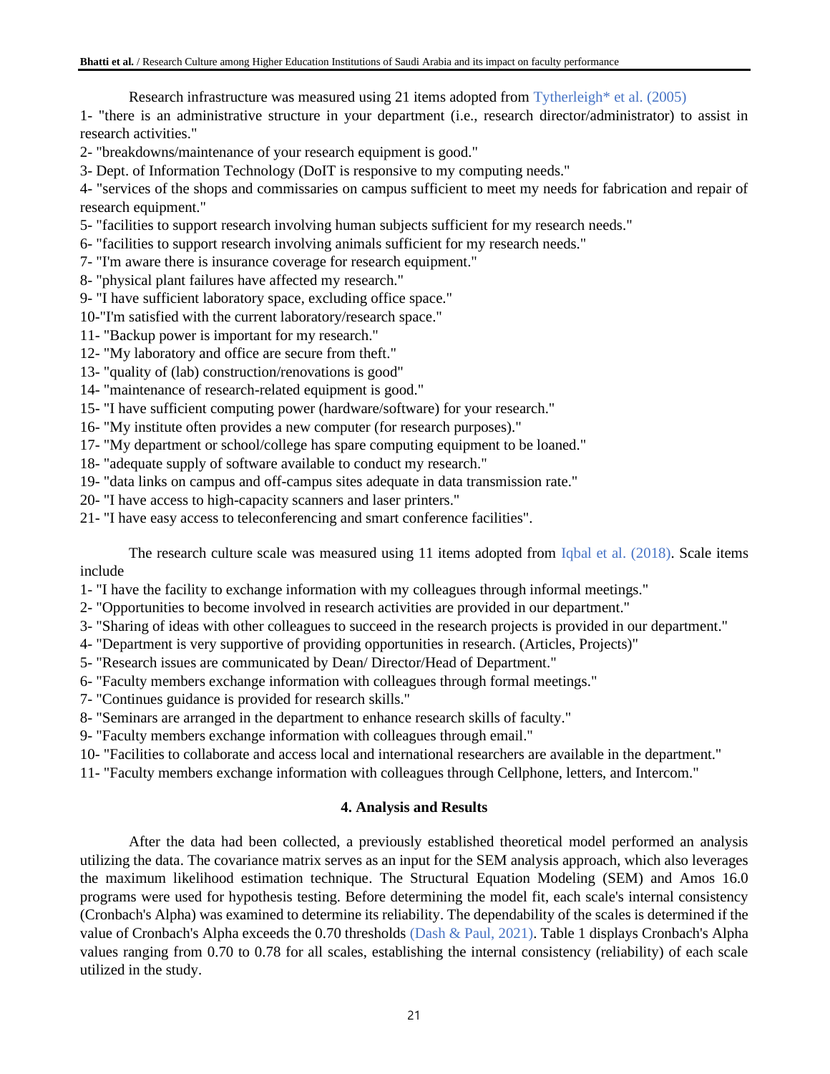Research infrastructure was measured using 21 items adopted from Tytherleigh\* et al. (2005)

1- "there is an administrative structure in your department (i.e., research director/administrator) to assist in research activities."

2- "breakdowns/maintenance of your research equipment is good."

3- Dept. of Information Technology (DoIT is responsive to my computing needs."

4- "services of the shops and commissaries on campus sufficient to meet my needs for fabrication and repair of research equipment."

5- "facilities to support research involving human subjects sufficient for my research needs."

6- "facilities to support research involving animals sufficient for my research needs."

7- "I'm aware there is insurance coverage for research equipment."

- 8- "physical plant failures have affected my research."
- 9- "I have sufficient laboratory space, excluding office space."

10-"I'm satisfied with the current laboratory/research space."

- 11- "Backup power is important for my research."
- 12- "My laboratory and office are secure from theft."
- 13- "quality of (lab) construction/renovations is good"
- 14- "maintenance of research-related equipment is good."
- 15- "I have sufficient computing power (hardware/software) for your research."
- 16- "My institute often provides a new computer (for research purposes)."
- 17- "My department or school/college has spare computing equipment to be loaned."
- 18- "adequate supply of software available to conduct my research."
- 19- "data links on campus and off-campus sites adequate in data transmission rate."
- 20- "I have access to high-capacity scanners and laser printers."
- 21- "I have easy access to teleconferencing and smart conference facilities".

The research culture scale was measured using 11 items adopted from Iqbal et al. (2018). Scale items include

1- "I have the facility to exchange information with my colleagues through informal meetings."

- 2- "Opportunities to become involved in research activities are provided in our department."
- 3- "Sharing of ideas with other colleagues to succeed in the research projects is provided in our department."
- 4- "Department is very supportive of providing opportunities in research. (Articles, Projects)"
- 5- "Research issues are communicated by Dean/ Director/Head of Department."
- 6- "Faculty members exchange information with colleagues through formal meetings."
- 7- "Continues guidance is provided for research skills."
- 8- "Seminars are arranged in the department to enhance research skills of faculty."
- 9- "Faculty members exchange information with colleagues through email."
- 10- "Facilities to collaborate and access local and international researchers are available in the department."
- 11- "Faculty members exchange information with colleagues through Cellphone, letters, and Intercom."

# **4. Analysis and Results**

After the data had been collected, a previously established theoretical model performed an analysis utilizing the data. The covariance matrix serves as an input for the SEM analysis approach, which also leverages the maximum likelihood estimation technique. The Structural Equation Modeling (SEM) and Amos 16.0 programs were used for hypothesis testing. Before determining the model fit, each scale's internal consistency (Cronbach's Alpha) was examined to determine its reliability. The dependability of the scales is determined if the value of Cronbach's Alpha exceeds the 0.70 thresholds (Dash & Paul, 2021). Table 1 displays Cronbach's Alpha values ranging from 0.70 to 0.78 for all scales, establishing the internal consistency (reliability) of each scale utilized in the study.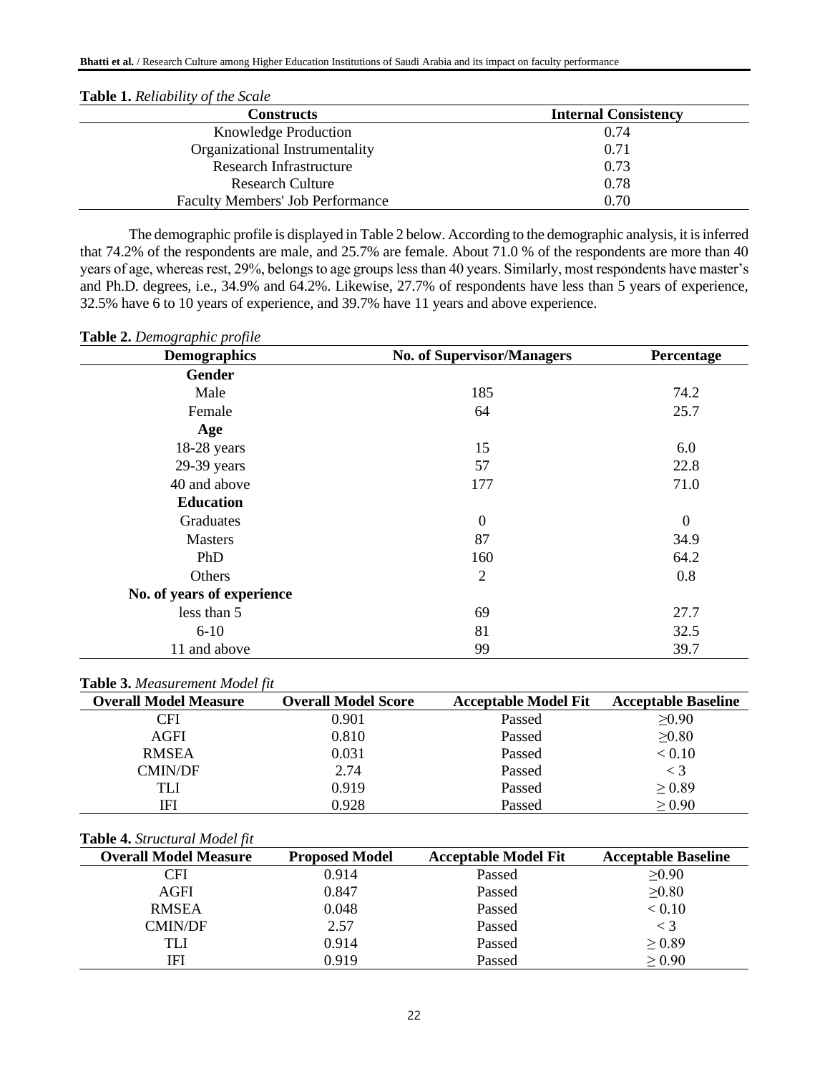| <b>Constructs</b>                       | <b>Internal Consistency</b> |
|-----------------------------------------|-----------------------------|
| <b>Knowledge Production</b>             | 0.74                        |
| Organizational Instrumentality          | 0.71                        |
| <b>Research Infrastructure</b>          | 0.73                        |
| <b>Research Culture</b>                 | 0.78                        |
| <b>Faculty Members' Job Performance</b> | 0.70                        |

The demographic profile is displayed in Table 2 below. According to the demographic analysis, it is inferred that 74.2% of the respondents are male, and 25.7% are female. About 71.0 % of the respondents are more than 40 years of age, whereas rest, 29%, belongs to age groups less than 40 years. Similarly, most respondents have master's and Ph.D. degrees, i.e., 34.9% and 64.2%. Likewise, 27.7% of respondents have less than 5 years of experience, 32.5% have 6 to 10 years of experience, and 39.7% have 11 years and above experience.

| Table 2. Demographic profile |  |  |
|------------------------------|--|--|
|------------------------------|--|--|

| <b>Demographics</b>        | <b>No. of Supervisor/Managers</b> | Percentage       |
|----------------------------|-----------------------------------|------------------|
| <b>Gender</b>              |                                   |                  |
| Male                       | 185                               | 74.2             |
| Female                     | 64                                | 25.7             |
| Age                        |                                   |                  |
| 18-28 years                | 15                                | 6.0              |
| $29-39$ years              | 57                                | 22.8             |
| 40 and above               | 177                               | 71.0             |
| <b>Education</b>           |                                   |                  |
| Graduates                  | $\theta$                          | $\boldsymbol{0}$ |
| <b>Masters</b>             | 87                                | 34.9             |
| PhD                        | 160                               | 64.2             |
| Others                     | $\overline{2}$                    | 0.8              |
| No. of years of experience |                                   |                  |
| less than 5                | 69                                | 27.7             |
| $6 - 10$                   | 81                                | 32.5             |
| 11 and above               | 99                                | 39.7             |

### **Table 3.** *Measurement Model fit*

| <b>Overall Model Measure</b> | <b>Overall Model Score</b> | <b>Acceptable Model Fit</b> | <b>Acceptable Baseline</b> |
|------------------------------|----------------------------|-----------------------------|----------------------------|
| CFI                          | 0.901                      | Passed                      | >0.90                      |
| AGFI                         | 0.810                      | Passed                      | $\geq 0.80$                |
| <b>RMSEA</b>                 | 0.031                      | Passed                      | < 0.10                     |
| <b>CMIN/DF</b>               | 2.74                       | Passed                      | $\lt$ 3                    |
| TLI                          | 0.919                      | Passed                      | $\geq 0.89$                |
| IFI                          | 0.928                      | Passed                      | $\geq 0.90$                |

### **Table 4.** *Structural Model fit*

| <b>Overall Model Measure</b> | <b>Proposed Model</b> | <b>Acceptable Model Fit</b> | <b>Acceptable Baseline</b> |
|------------------------------|-----------------------|-----------------------------|----------------------------|
| CFI                          | 0.914                 | Passed                      | >0.90                      |
| AGFI                         | 0.847                 | Passed                      | >0.80                      |
| <b>RMSEA</b>                 | 0.048                 | Passed                      | < 0.10                     |
| CMIN/DF                      | 2.57                  | Passed                      | $<$ 3                      |
| TLI                          | 0.914                 | Passed                      | $\geq 0.89$                |
| IFI                          | 0.919                 | Passed                      | $\geq 0.90$                |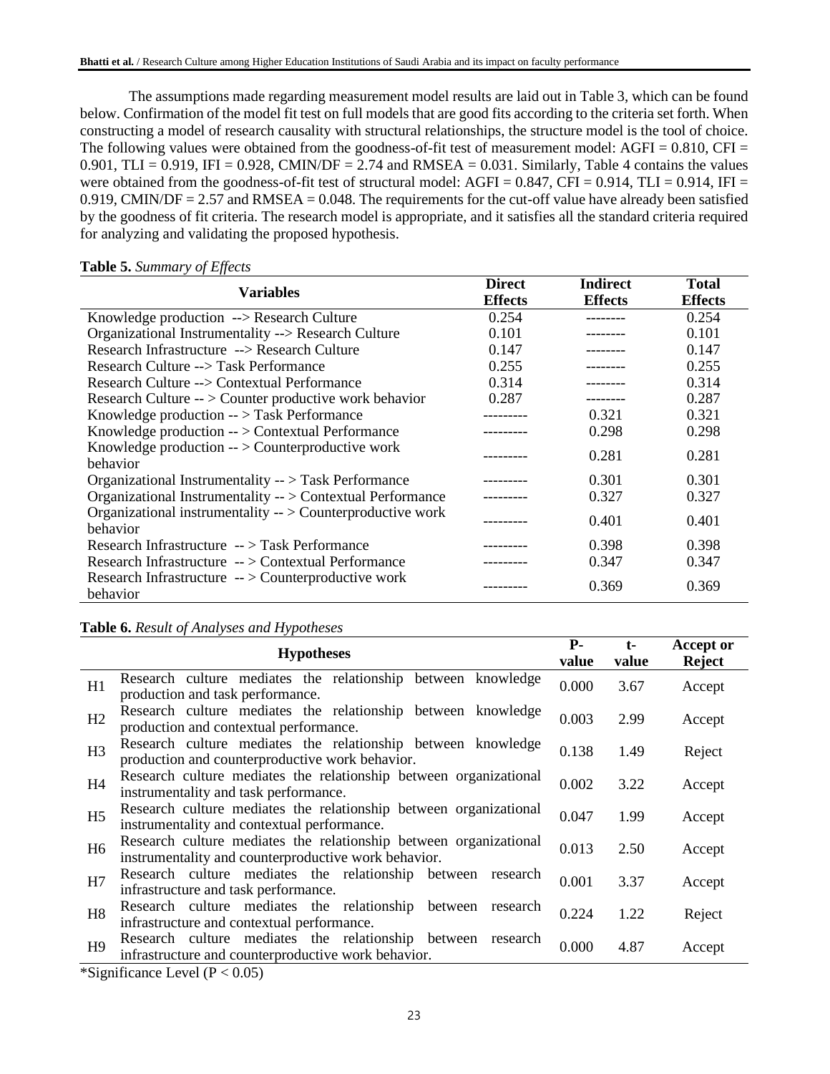The assumptions made regarding measurement model results are laid out in Table 3, which can be found below. Confirmation of the model fit test on full models that are good fits according to the criteria set forth. When constructing a model of research causality with structural relationships, the structure model is the tool of choice. The following values were obtained from the goodness-of-fit test of measurement model:  $AGFI = 0.810$ ,  $CFI =$  $0.901$ , TLI = 0.919, IFI = 0.928, CMIN/DF = 2.74 and RMSEA = 0.031. Similarly, Table 4 contains the values were obtained from the goodness-of-fit test of structural model: AGFI =  $0.847$ , CFI =  $0.914$ , TLI =  $0.914$ , IFI = 0.919, CMIN/DF =  $2.57$  and RMSEA = 0.048. The requirements for the cut-off value have already been satisfied by the goodness of fit criteria. The research model is appropriate, and it satisfies all the standard criteria required for analyzing and validating the proposed hypothesis.

| <b>Variables</b>                                                                | <b>Direct</b>  | <b>Indirect</b> | <b>Total</b>   |
|---------------------------------------------------------------------------------|----------------|-----------------|----------------|
|                                                                                 | <b>Effects</b> | <b>Effects</b>  | <b>Effects</b> |
| Knowledge production --> Research Culture                                       | 0.254          |                 | 0.254          |
| Organizational Instrumentality --> Research Culture                             | 0.101          |                 | 0.101          |
| Research Infrastructure --> Research Culture                                    | 0.147          |                 | 0.147          |
| Research Culture --> Task Performance                                           | 0.255          |                 | 0.255          |
| Research Culture --> Contextual Performance                                     | 0.314          |                 | 0.314          |
| Research Culture -- > Counter productive work behavior                          | 0.287          |                 | 0.287          |
| Knowledge production -- > Task Performance                                      |                | 0.321           | 0.321          |
| Knowledge production -- > Contextual Performance                                |                | 0.298           | 0.298          |
| Knowledge production -- > Counterproductive work                                |                | 0.281           | 0.281          |
| behavior                                                                        |                |                 |                |
| Organizational Instrumentality -- > Task Performance                            |                | 0.301           | 0.301          |
| Organizational Instrumentality -- > Contextual Performance                      |                | 0.327           | 0.327          |
| Organizational instrumentality $\rightarrow$ Counterproductive work<br>behavior |                | 0.401           | 0.401          |
| Research Infrastructure $-$ > Task Performance                                  |                | 0.398           | 0.398          |
| Research Infrastructure -- > Contextual Performance                             |                | 0.347           | 0.347          |
| Research Infrastructure -- > Counterproductive work<br>behavior                 |                | 0.369           | 0.369          |

### **Table 5.** *Summary of Effects*

**Table 6.** *Result of Analyses and Hypotheses*

|                            | <b>Hypotheses</b>                                                                                                                                                                         | <b>P</b> -<br>value | $t-$<br>value | <b>Accept or</b><br><b>Reject</b> |
|----------------------------|-------------------------------------------------------------------------------------------------------------------------------------------------------------------------------------------|---------------------|---------------|-----------------------------------|
| H1                         | Research culture mediates the relationship between knowledge<br>production and task performance.                                                                                          | 0.000               | 3.67          | Accept                            |
| H2                         | Research culture mediates the relationship between knowledge<br>production and contextual performance.                                                                                    | 0.003               | 2.99          | Accept                            |
| H <sub>3</sub>             | Research culture mediates the relationship between knowledge<br>production and counterproductive work behavior.                                                                           | 0.138               | 1.49          | Reject                            |
| H <sub>4</sub>             | Research culture mediates the relationship between organizational<br>instrumentality and task performance.                                                                                | 0.002               | 3.22          | Accept                            |
| H <sub>5</sub>             | Research culture mediates the relationship between organizational<br>instrumentality and contextual performance.                                                                          |                     | 1.99          | Accept                            |
| H <sub>6</sub>             | Research culture mediates the relationship between organizational<br>instrumentality and counterproductive work behavior.                                                                 | 0.013               | 2.50          | Accept                            |
| H7                         | Research culture mediates the relationship between research<br>infrastructure and task performance.                                                                                       | 0.001               | 3.37          | Accept                            |
| H <sub>8</sub>             | Research culture mediates the relationship between<br>research<br>infrastructure and contextual performance.                                                                              | 0.224               | 1.22          | Reject                            |
| H <sup>9</sup><br>ייחי ירי | Research culture mediates the relationship between<br>research<br>infrastructure and counterproductive work behavior.<br>$\mathbf{I}$ $\mathbf{I}$ $\mathbf{D}$ $\mathbf{A}$ $\mathbf{D}$ | 0.000               | 4.87          | Accept                            |

\*Significance Level  $(P < 0.05)$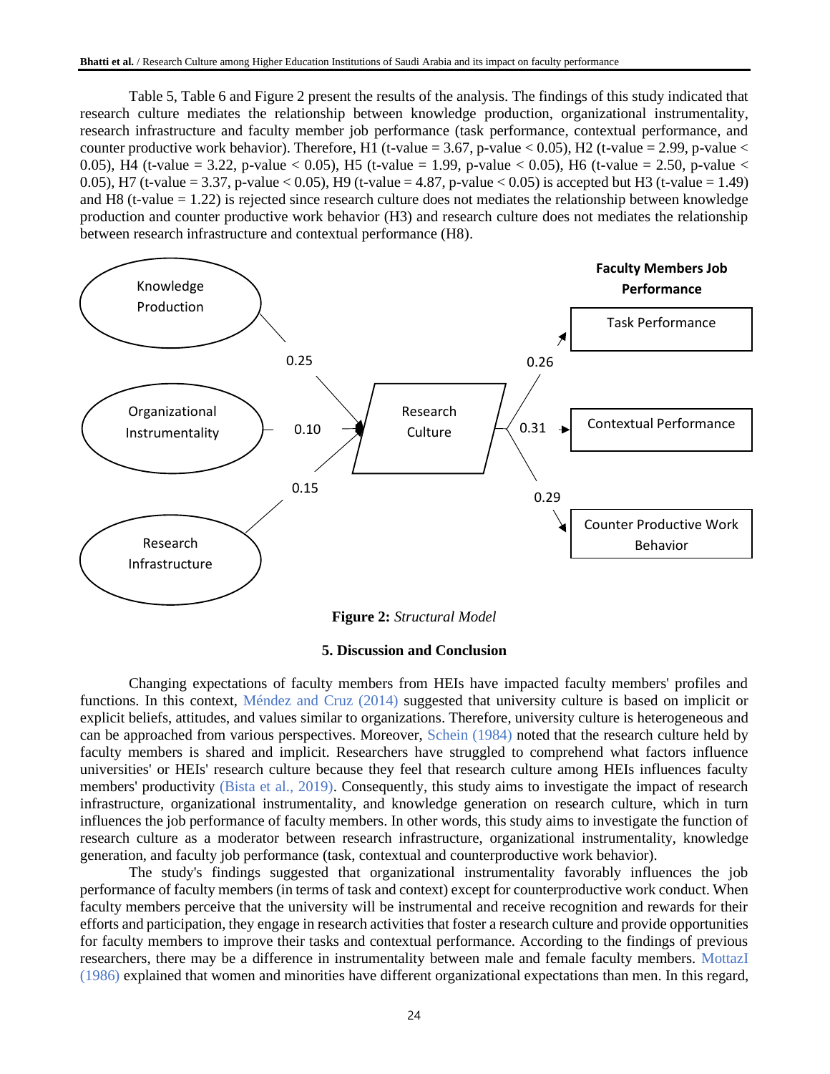Table 5, Table 6 and Figure 2 present the results of the analysis. The findings of this study indicated that research culture mediates the relationship between knowledge production, organizational instrumentality, research infrastructure and faculty member job performance (task performance, contextual performance, and counter productive work behavior). Therefore, H1 (t-value = 3.67, p-value  $< 0.05$ ), H2 (t-value = 2.99, p-value  $<$ 0.05), H4 (t-value = 3.22, p-value < 0.05), H5 (t-value = 1.99, p-value < 0.05), H6 (t-value = 2.50, p-value < 0.05), H7 (t-value = 3.37, p-value < 0.05), H9 (t-value = 4.87, p-value < 0.05) is accepted but H3 (t-value = 1.49) and H8 (t-value  $= 1.22$ ) is rejected since research culture does not mediates the relationship between knowledge production and counter productive work behavior (H3) and research culture does not mediates the relationship between research infrastructure and contextual performance (H8).



### **5. Discussion and Conclusion**

Changing expectations of faculty members from HEIs have impacted faculty members' profiles and functions. In this context, Méndez and Cruz (2014) suggested that university culture is based on implicit or explicit beliefs, attitudes, and values similar to organizations. Therefore, university culture is heterogeneous and can be approached from various perspectives. Moreover, Schein (1984) noted that the research culture held by faculty members is shared and implicit. Researchers have struggled to comprehend what factors influence universities' or HEIs' research culture because they feel that research culture among HEIs influences faculty members' productivity (Bista et al., 2019). Consequently, this study aims to investigate the impact of research infrastructure, organizational instrumentality, and knowledge generation on research culture, which in turn influences the job performance of faculty members. In other words, this study aims to investigate the function of research culture as a moderator between research infrastructure, organizational instrumentality, knowledge generation, and faculty job performance (task, contextual and counterproductive work behavior).

The study's findings suggested that organizational instrumentality favorably influences the job performance of faculty members (in terms of task and context) except for counterproductive work conduct. When faculty members perceive that the university will be instrumental and receive recognition and rewards for their efforts and participation, they engage in research activities that foster a research culture and provide opportunities for faculty members to improve their tasks and contextual performance. According to the findings of previous researchers, there may be a difference in instrumentality between male and female faculty members. MottazI (1986) explained that women and minorities have different organizational expectations than men. In this regard,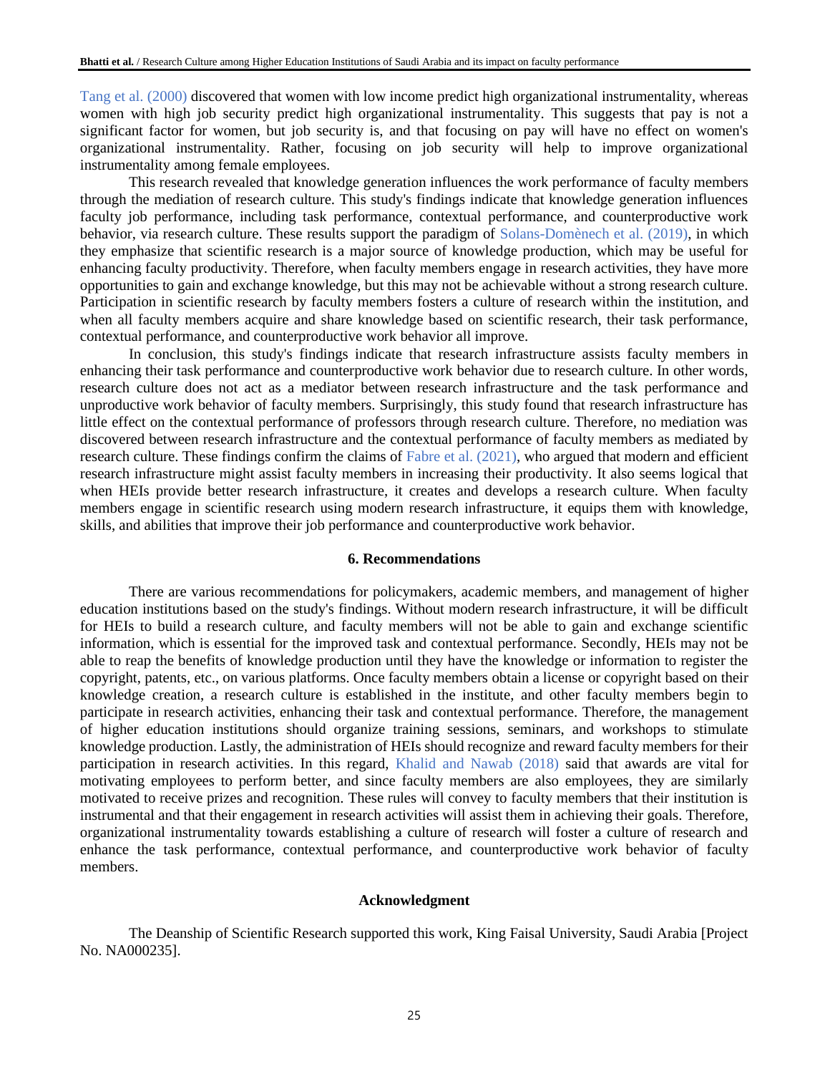Tang et al. (2000) discovered that women with low income predict high organizational instrumentality, whereas women with high job security predict high organizational instrumentality. This suggests that pay is not a significant factor for women, but job security is, and that focusing on pay will have no effect on women's organizational instrumentality. Rather, focusing on job security will help to improve organizational instrumentality among female employees.

This research revealed that knowledge generation influences the work performance of faculty members through the mediation of research culture. This study's findings indicate that knowledge generation influences faculty job performance, including task performance, contextual performance, and counterproductive work behavior, via research culture. These results support the paradigm of Solans-Domènech et al. (2019), in which they emphasize that scientific research is a major source of knowledge production, which may be useful for enhancing faculty productivity. Therefore, when faculty members engage in research activities, they have more opportunities to gain and exchange knowledge, but this may not be achievable without a strong research culture. Participation in scientific research by faculty members fosters a culture of research within the institution, and when all faculty members acquire and share knowledge based on scientific research, their task performance, contextual performance, and counterproductive work behavior all improve.

In conclusion, this study's findings indicate that research infrastructure assists faculty members in enhancing their task performance and counterproductive work behavior due to research culture. In other words, research culture does not act as a mediator between research infrastructure and the task performance and unproductive work behavior of faculty members. Surprisingly, this study found that research infrastructure has little effect on the contextual performance of professors through research culture. Therefore, no mediation was discovered between research infrastructure and the contextual performance of faculty members as mediated by research culture. These findings confirm the claims of Fabre et al. (2021), who argued that modern and efficient research infrastructure might assist faculty members in increasing their productivity. It also seems logical that when HEIs provide better research infrastructure, it creates and develops a research culture. When faculty members engage in scientific research using modern research infrastructure, it equips them with knowledge, skills, and abilities that improve their job performance and counterproductive work behavior.

## **6. Recommendations**

There are various recommendations for policymakers, academic members, and management of higher education institutions based on the study's findings. Without modern research infrastructure, it will be difficult for HEIs to build a research culture, and faculty members will not be able to gain and exchange scientific information, which is essential for the improved task and contextual performance. Secondly, HEIs may not be able to reap the benefits of knowledge production until they have the knowledge or information to register the copyright, patents, etc., on various platforms. Once faculty members obtain a license or copyright based on their knowledge creation, a research culture is established in the institute, and other faculty members begin to participate in research activities, enhancing their task and contextual performance. Therefore, the management of higher education institutions should organize training sessions, seminars, and workshops to stimulate knowledge production. Lastly, the administration of HEIs should recognize and reward faculty members for their participation in research activities. In this regard, Khalid and Nawab (2018) said that awards are vital for motivating employees to perform better, and since faculty members are also employees, they are similarly motivated to receive prizes and recognition. These rules will convey to faculty members that their institution is instrumental and that their engagement in research activities will assist them in achieving their goals. Therefore, organizational instrumentality towards establishing a culture of research will foster a culture of research and enhance the task performance, contextual performance, and counterproductive work behavior of faculty members.

### **Acknowledgment**

The Deanship of Scientific Research supported this work, King Faisal University, Saudi Arabia [Project No. NA000235].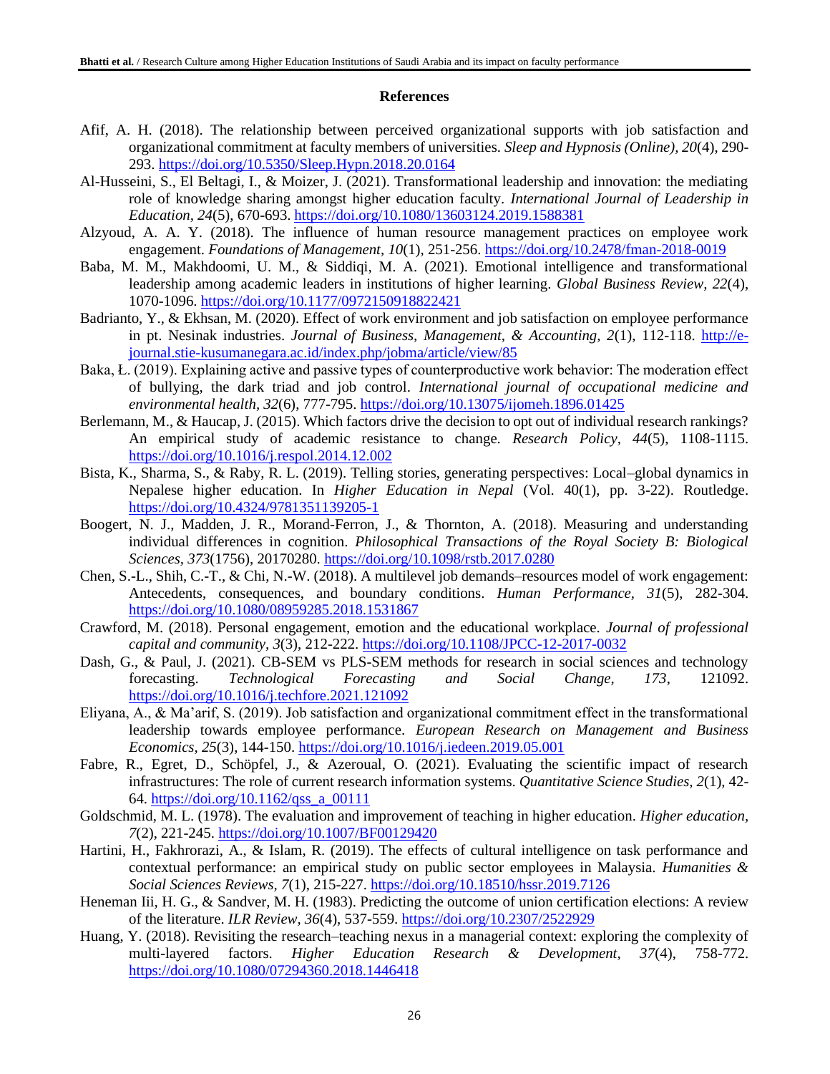## **References**

- Afif, A. H. (2018). The relationship between perceived organizational supports with job satisfaction and organizational commitment at faculty members of universities. *Sleep and Hypnosis (Online), 20*(4), 290- 293.<https://doi.org/10.5350/Sleep.Hypn.2018.20.0164>
- Al-Husseini, S., El Beltagi, I., & Moizer, J. (2021). Transformational leadership and innovation: the mediating role of knowledge sharing amongst higher education faculty. *International Journal of Leadership in Education, 24*(5), 670-693.<https://doi.org/10.1080/13603124.2019.1588381>
- Alzyoud, A. A. Y. (2018). The influence of human resource management practices on employee work engagement. *Foundations of Management, 10*(1), 251-256.<https://doi.org/10.2478/fman-2018-0019>
- Baba, M. M., Makhdoomi, U. M., & Siddiqi, M. A. (2021). Emotional intelligence and transformational leadership among academic leaders in institutions of higher learning. *Global Business Review, 22*(4), 1070-1096.<https://doi.org/10.1177/0972150918822421>
- Badrianto, Y., & Ekhsan, M. (2020). Effect of work environment and job satisfaction on employee performance in pt. Nesinak industries. *Journal of Business, Management, & Accounting, 2*(1), 112-118. [http://e](http://e-journal.stie-kusumanegara.ac.id/index.php/jobma/article/view/85)[journal.stie-kusumanegara.ac.id/index.php/jobma/article/view/85](http://e-journal.stie-kusumanegara.ac.id/index.php/jobma/article/view/85)
- Baka, Ł. (2019). Explaining active and passive types of counterproductive work behavior: The moderation effect of bullying, the dark triad and job control. *International journal of occupational medicine and environmental health, 32*(6), 777-795.<https://doi.org/10.13075/ijomeh.1896.01425>
- Berlemann, M., & Haucap, J. (2015). Which factors drive the decision to opt out of individual research rankings? An empirical study of academic resistance to change. *Research Policy, 44*(5), 1108-1115. <https://doi.org/10.1016/j.respol.2014.12.002>
- Bista, K., Sharma, S., & Raby, R. L. (2019). Telling stories, generating perspectives: Local–global dynamics in Nepalese higher education. In *Higher Education in Nepal* (Vol. 40(1), pp. 3-22). Routledge. <https://doi.org/10.4324/9781351139205-1>
- Boogert, N. J., Madden, J. R., Morand-Ferron, J., & Thornton, A. (2018). Measuring and understanding individual differences in cognition. *Philosophical Transactions of the Royal Society B: Biological Sciences, 373*(1756), 20170280.<https://doi.org/10.1098/rstb.2017.0280>
- Chen, S.-L., Shih, C.-T., & Chi, N.-W. (2018). A multilevel job demands–resources model of work engagement: Antecedents, consequences, and boundary conditions. *Human Performance, 31*(5), 282-304. <https://doi.org/10.1080/08959285.2018.1531867>
- Crawford, M. (2018). Personal engagement, emotion and the educational workplace. *Journal of professional capital and community, 3*(3), 212-222.<https://doi.org/10.1108/JPCC-12-2017-0032>
- Dash, G., & Paul, J. (2021). CB-SEM vs PLS-SEM methods for research in social sciences and technology forecasting. *Technological Forecasting and Social Change, 173*, 121092. <https://doi.org/10.1016/j.techfore.2021.121092>
- Eliyana, A., & Ma'arif, S. (2019). Job satisfaction and organizational commitment effect in the transformational leadership towards employee performance. *European Research on Management and Business Economics, 25*(3), 144-150.<https://doi.org/10.1016/j.iedeen.2019.05.001>
- Fabre, R., Egret, D., Schöpfel, J., & Azeroual, O. (2021). Evaluating the scientific impact of research infrastructures: The role of current research information systems. *Quantitative Science Studies, 2*(1), 42- 64. [https://doi.org/10.1162/qss\\_a\\_00111](https://doi.org/10.1162/qss_a_00111)
- Goldschmid, M. L. (1978). The evaluation and improvement of teaching in higher education. *Higher education, 7*(2), 221-245.<https://doi.org/10.1007/BF00129420>
- Hartini, H., Fakhrorazi, A., & Islam, R. (2019). The effects of cultural intelligence on task performance and contextual performance: an empirical study on public sector employees in Malaysia. *Humanities & Social Sciences Reviews, 7*(1), 215-227.<https://doi.org/10.18510/hssr.2019.7126>
- Heneman Iii, H. G., & Sandver, M. H. (1983). Predicting the outcome of union certification elections: A review of the literature. *ILR Review, 36*(4), 537-559.<https://doi.org/10.2307/2522929>
- Huang, Y. (2018). Revisiting the research–teaching nexus in a managerial context: exploring the complexity of multi-layered factors. *Higher Education Research & Development, 37*(4), 758-772. <https://doi.org/10.1080/07294360.2018.1446418>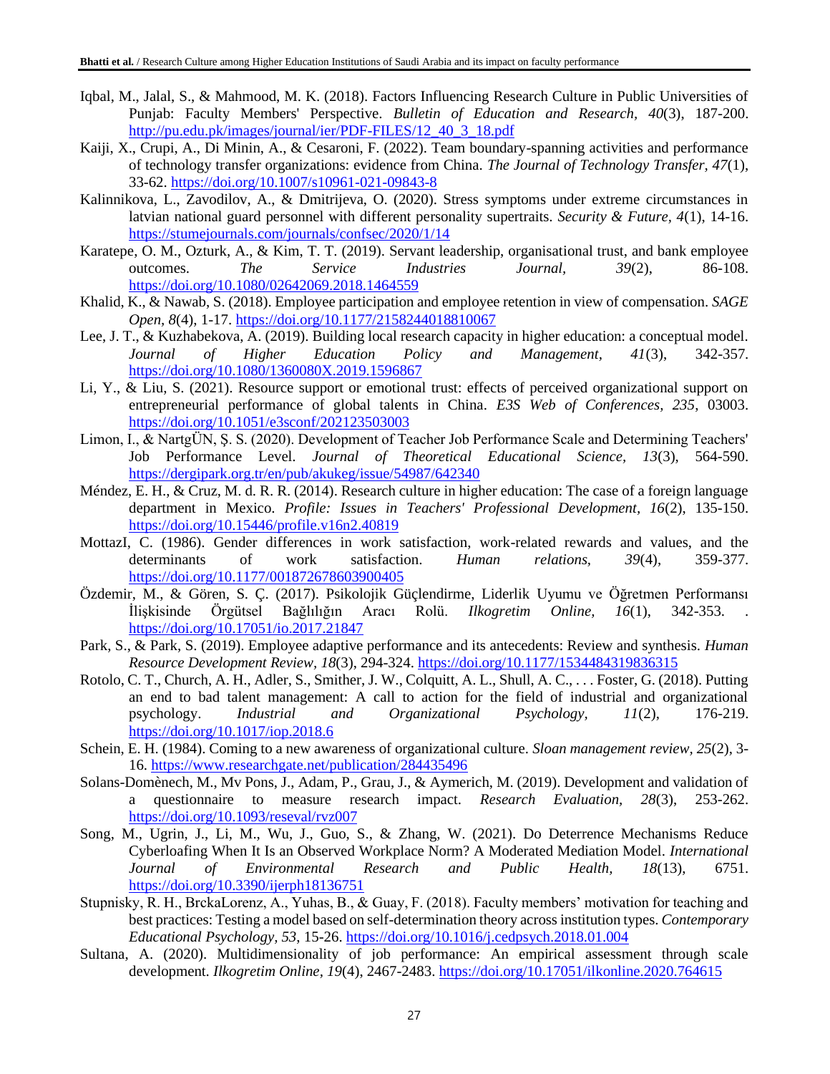- Iqbal, M., Jalal, S., & Mahmood, M. K. (2018). Factors Influencing Research Culture in Public Universities of Punjab: Faculty Members' Perspective. *Bulletin of Education and Research, 40*(3), 187-200. [http://pu.edu.pk/images/journal/ier/PDF-FILES/12\\_40\\_3\\_18.pdf](http://pu.edu.pk/images/journal/ier/PDF-FILES/12_40_3_18.pdf)
- Kaiji, X., Crupi, A., Di Minin, A., & Cesaroni, F. (2022). Team boundary-spanning activities and performance of technology transfer organizations: evidence from China. *The Journal of Technology Transfer, 47*(1), 33-62.<https://doi.org/10.1007/s10961-021-09843-8>
- Kalinnikova, L., Zavodilov, A., & Dmitrijeva, O. (2020). Stress symptoms under extreme circumstances in latvian national guard personnel with different personality supertraits. *Security & Future, 4*(1), 14-16. <https://stumejournals.com/journals/confsec/2020/1/14>
- Karatepe, O. M., Ozturk, A., & Kim, T. T. (2019). Servant leadership, organisational trust, and bank employee outcomes. *The Service Industries Journal, 39*(2), 86-108. <https://doi.org/10.1080/02642069.2018.1464559>
- Khalid, K., & Nawab, S. (2018). Employee participation and employee retention in view of compensation. *SAGE Open, 8*(4), 1-17.<https://doi.org/10.1177/2158244018810067>
- Lee, J. T., & Kuzhabekova, A. (2019). Building local research capacity in higher education: a conceptual model. *Journal of Higher Education Policy and Management, 41*(3), 342-357. <https://doi.org/10.1080/1360080X.2019.1596867>
- Li, Y., & Liu, S. (2021). Resource support or emotional trust: effects of perceived organizational support on entrepreneurial performance of global talents in China. *E3S Web of Conferences, 235*, 03003. <https://doi.org/10.1051/e3sconf/202123503003>
- Limon, I., & NartgÜN, Ş. S. (2020). Development of Teacher Job Performance Scale and Determining Teachers' Job Performance Level. *Journal of Theoretical Educational Science, 13*(3), 564-590. <https://dergipark.org.tr/en/pub/akukeg/issue/54987/642340>
- Méndez, E. H., & Cruz, M. d. R. R. (2014). Research culture in higher education: The case of a foreign language department in Mexico. *Profile: Issues in Teachers' Professional Development, 16*(2), 135-150. <https://doi.org/10.15446/profile.v16n2.40819>
- MottazI, C. (1986). Gender differences in work satisfaction, work-related rewards and values, and the determinants of work satisfaction. *Human relations, 39*(4), 359-377. <https://doi.org/10.1177/001872678603900405>
- Özdemir, M., & Gören, S. Ç. (2017). Psikolojik Güçlendirme, Liderlik Uyumu ve Öğretmen Performansı İlişkisinde Örgütsel Bağlılığın Aracı Rolü. *Ilkogretim Online, 16*(1), 342-353. . <https://doi.org/10.17051/io.2017.21847>
- Park, S., & Park, S. (2019). Employee adaptive performance and its antecedents: Review and synthesis. *Human Resource Development Review, 18*(3), 294-324.<https://doi.org/10.1177/1534484319836315>
- Rotolo, C. T., Church, A. H., Adler, S., Smither, J. W., Colquitt, A. L., Shull, A. C., . . . Foster, G. (2018). Putting an end to bad talent management: A call to action for the field of industrial and organizational psychology. *Industrial and Organizational Psychology, 11*(2), 176-219. <https://doi.org/10.1017/iop.2018.6>
- Schein, E. H. (1984). Coming to a new awareness of organizational culture. *Sloan management review, 25*(2), 3- 16.<https://www.researchgate.net/publication/284435496>
- Solans-Domènech, M., Mv Pons, J., Adam, P., Grau, J., & Aymerich, M. (2019). Development and validation of a questionnaire to measure research impact. *Research Evaluation, 28*(3), 253-262. <https://doi.org/10.1093/reseval/rvz007>
- Song, M., Ugrin, J., Li, M., Wu, J., Guo, S., & Zhang, W. (2021). Do Deterrence Mechanisms Reduce Cyberloafing When It Is an Observed Workplace Norm? A Moderated Mediation Model. *International Journal of Environmental Research and Public Health, 18*(13), 6751. <https://doi.org/10.3390/ijerph18136751>
- Stupnisky, R. H., BrckaLorenz, A., Yuhas, B., & Guay, F. (2018). Faculty members' motivation for teaching and best practices: Testing a model based on self-determination theory across institution types. *Contemporary Educational Psychology, 53*, 15-26.<https://doi.org/10.1016/j.cedpsych.2018.01.004>
- Sultana, A. (2020). Multidimensionality of job performance: An empirical assessment through scale development. *Ilkogretim Online, 19*(4), 2467-2483.<https://doi.org/10.17051/ilkonline.2020.764615>